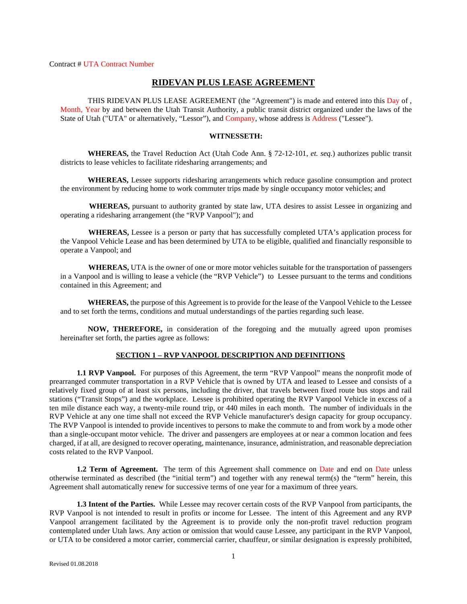Contract # UTA Contract Number

# **RIDEVAN PLUS LEASE AGREEMENT**

THIS RIDEVAN PLUS LEASE AGREEMENT (the "Agreement") is made and entered into this Day of , Month, Year by and between the Utah Transit Authority, a public transit district organized under the laws of the State of Utah ("UTA" or alternatively, "Lessor"), and Company, whose address is Address ("Lessee").

### **WITNESSETH:**

**WHEREAS,** the Travel Reduction Act (Utah Code Ann. § 72-12-101, *et. seq.*) authorizes public transit districts to lease vehicles to facilitate ridesharing arrangements; and

**WHEREAS,** Lessee supports ridesharing arrangements which reduce gasoline consumption and protect the environment by reducing home to work commuter trips made by single occupancy motor vehicles; and

 **WHEREAS,** pursuant to authority granted by state law, UTA desires to assist Lessee in organizing and operating a ridesharing arrangement (the "RVP Vanpool"); and

 **WHEREAS,** Lessee is a person or party that has successfully completed UTA's application process for the Vanpool Vehicle Lease and has been determined by UTA to be eligible, qualified and financially responsible to operate a Vanpool; and

 **WHEREAS,** UTA is the owner of one or more motor vehicles suitable for the transportation of passengers in a Vanpool and is willing to lease a vehicle (the "RVP Vehicle") to Lessee pursuant to the terms and conditions contained in this Agreement; and

**WHEREAS,** the purpose of this Agreement is to provide for the lease of the Vanpool Vehicle to the Lessee and to set forth the terms, conditions and mutual understandings of the parties regarding such lease.

**NOW, THEREFORE,** in consideration of the foregoing and the mutually agreed upon promises hereinafter set forth, the parties agree as follows:

## **SECTION 1 – RVP VANPOOL DESCRIPTION AND DEFINITIONS**

**1.1 RVP Vanpool.** For purposes of this Agreement, the term "RVP Vanpool" means the nonprofit mode of prearranged commuter transportation in a RVP Vehicle that is owned by UTA and leased to Lessee and consists of a relatively fixed group of at least six persons, including the driver, that travels between fixed route bus stops and rail stations ("Transit Stops") and the workplace. Lessee is prohibited operating the RVP Vanpool Vehicle in excess of a ten mile distance each way, a twenty-mile round trip, or 440 miles in each month. The number of individuals in the RVP Vehicle at any one time shall not exceed the RVP Vehicle manufacturer's design capacity for group occupancy. The RVP Vanpool is intended to provide incentives to persons to make the commute to and from work by a mode other than a single-occupant motor vehicle. The driver and passengers are employees at or near a common location and fees charged, if at all, are designed to recover operating, maintenance, insurance, administration, and reasonable depreciation costs related to the RVP Vanpool.

**1.2 Term of Agreement.** The term of this Agreement shall commence on Date and end on Date unless otherwise terminated as described (the "initial term") and together with any renewal term(s) the "term" herein, this Agreement shall automatically renew for successive terms of one year for a maximum of three years.

**1.3 Intent of the Parties.** While Lessee may recover certain costs of the RVP Vanpool from participants, the RVP Vanpool is not intended to result in profits or income for Lessee. The intent of this Agreement and any RVP Vanpool arrangement facilitated by the Agreement is to provide only the non-profit travel reduction program contemplated under Utah laws. Any action or omission that would cause Lessee, any participant in the RVP Vanpool, or UTA to be considered a motor carrier, commercial carrier, chauffeur, or similar designation is expressly prohibited,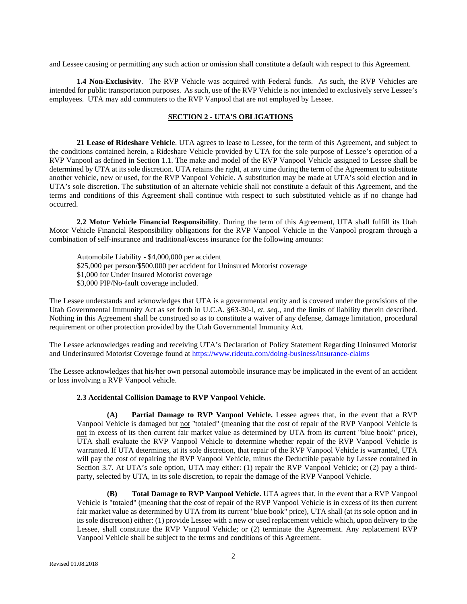and Lessee causing or permitting any such action or omission shall constitute a default with respect to this Agreement.

**1.4 Non-Exclusivity**. The RVP Vehicle was acquired with Federal funds. As such, the RVP Vehicles are intended for public transportation purposes. As such, use of the RVP Vehicle is not intended to exclusively serve Lessee's employees. UTA may add commuters to the RVP Vanpool that are not employed by Lessee.

# **SECTION 2 - UTA'S OBLIGATIONS**

**21 Lease of Rideshare Vehicle**. UTA agrees to lease to Lessee, for the term of this Agreement, and subject to the conditions contained herein, a Rideshare Vehicle provided by UTA for the sole purpose of Lessee's operation of a RVP Vanpool as defined in Section 1.1. The make and model of the RVP Vanpool Vehicle assigned to Lessee shall be determined by UTA at its sole discretion. UTA retains the right, at any time during the term of the Agreement to substitute another vehicle, new or used, for the RVP Vanpool Vehicle. A substitution may be made at UTA's sold election and in UTA's sole discretion. The substitution of an alternate vehicle shall not constitute a default of this Agreement, and the terms and conditions of this Agreement shall continue with respect to such substituted vehicle as if no change had occurred.

**2.2 Motor Vehicle Financial Responsibility**. During the term of this Agreement, UTA shall fulfill its Utah Motor Vehicle Financial Responsibility obligations for the RVP Vanpool Vehicle in the Vanpool program through a combination of self-insurance and traditional/excess insurance for the following amounts:

Automobile Liability - \$4,000,000 per accident \$25,000 per person/\$500,000 per accident for Uninsured Motorist coverage \$1,000 for Under Insured Motorist coverage \$3,000 PIP/No-fault coverage included.

The Lessee understands and acknowledges that UTA is a governmental entity and is covered under the provisions of the Utah Governmental Immunity Act as set forth in U.C.A. §63-30-l, *et. seq.*, and the limits of liability therein described. Nothing in this Agreement shall be construed so as to constitute a waiver of any defense, damage limitation, procedural requirement or other protection provided by the Utah Governmental Immunity Act.

The Lessee acknowledges reading and receiving UTA's Declaration of Policy Statement Regarding Uninsured Motorist and Underinsured Motorist Coverage found at<https://www.rideuta.com/doing-business/insurance-claims>

The Lessee acknowledges that his/her own personal automobile insurance may be implicated in the event of an accident or loss involving a RVP Vanpool vehicle.

## **2.3 Accidental Collision Damage to RVP Vanpool Vehicle.**

**(A) Partial Damage to RVP Vanpool Vehicle.** Lessee agrees that, in the event that a RVP Vanpool Vehicle is damaged but not "totaled" (meaning that the cost of repair of the RVP Vanpool Vehicle is not in excess of its then current fair market value as determined by UTA from its current "blue book" price), UTA shall evaluate the RVP Vanpool Vehicle to determine whether repair of the RVP Vanpool Vehicle is warranted. If UTA determines, at its sole discretion, that repair of the RVP Vanpool Vehicle is warranted, UTA will pay the cost of repairing the RVP Vanpool Vehicle, minus the Deductible payable by Lessee contained in Section 3.7. At UTA's sole option, UTA may either: (1) repair the RVP Vanpool Vehicle; or (2) pay a thirdparty, selected by UTA, in its sole discretion, to repair the damage of the RVP Vanpool Vehicle.

**(B) Total Damage to RVP Vanpool Vehicle.** UTA agrees that, in the event that a RVP Vanpool Vehicle is "totaled" (meaning that the cost of repair of the RVP Vanpool Vehicle is in excess of its then current fair market value as determined by UTA from its current "blue book" price), UTA shall (at its sole option and in its sole discretion) either: (1) provide Lessee with a new or used replacement vehicle which, upon delivery to the Lessee, shall constitute the RVP Vanpool Vehicle; or (2) terminate the Agreement. Any replacement RVP Vanpool Vehicle shall be subject to the terms and conditions of this Agreement.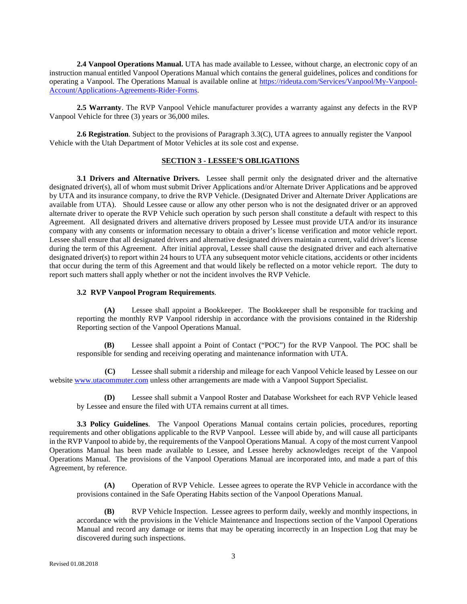**2.4 Vanpool Operations Manual.** UTA has made available to Lessee, without charge, an electronic copy of an instruction manual entitled Vanpool Operations Manual which contains the general guidelines, polices and conditions for operating a Vanpool. The Operations Manual is available online at [https://rideuta.com/Services/Vanpool/My-Vanpool-](https://rideuta.com/Services/Vanpool/My-Vanpool-Account/Applications-Agreements-Rider-Forms)[Account/Applications-Agreements-Rider-Forms.](https://rideuta.com/Services/Vanpool/My-Vanpool-Account/Applications-Agreements-Rider-Forms)

**2.5 Warranty**. The RVP Vanpool Vehicle manufacturer provides a warranty against any defects in the RVP Vanpool Vehicle for three (3) years or 36,000 miles.

**2.6 Registration**. Subject to the provisions of Paragraph 3.3(C), UTA agrees to annually register the Vanpool Vehicle with the Utah Department of Motor Vehicles at its sole cost and expense.

## **SECTION 3 - LESSEE'S OBLIGATIONS**

**3.1 Drivers and Alternative Drivers.** Lessee shall permit only the designated driver and the alternative designated driver(s), all of whom must submit Driver Applications and/or Alternate Driver Applications and be approved by UTA and its insurance company, to drive the RVP Vehicle. (Designated Driver and Alternate Driver Applications are available from UTA). Should Lessee cause or allow any other person who is not the designated driver or an approved alternate driver to operate the RVP Vehicle such operation by such person shall constitute a default with respect to this Agreement. All designated drivers and alternative drivers proposed by Lessee must provide UTA and/or its insurance company with any consents or information necessary to obtain a driver's license verification and motor vehicle report. Lessee shall ensure that all designated drivers and alternative designated drivers maintain a current, valid driver's license during the term of this Agreement. After initial approval, Lessee shall cause the designated driver and each alternative designated driver(s) to report within 24 hours to UTA any subsequent motor vehicle citations, accidents or other incidents that occur during the term of this Agreement and that would likely be reflected on a motor vehicle report. The duty to report such matters shall apply whether or not the incident involves the RVP Vehicle.

### **3.2 RVP Vanpool Program Requirements**.

**(A)** Lessee shall appoint a Bookkeeper. The Bookkeeper shall be responsible for tracking and reporting the monthly RVP Vanpool ridership in accordance with the provisions contained in the Ridership Reporting section of the Vanpool Operations Manual.

**(B)** Lessee shall appoint a Point of Contact ("POC") for the RVP Vanpool. The POC shall be responsible for sending and receiving operating and maintenance information with UTA.

 **(C)** Lessee shall submit a ridership and mileage for each Vanpool Vehicle leased by Lessee on our website [www.utacommuter.com](http://www.utacommuter.com/) unless other arrangements are made with a Vanpool Support Specialist.

**(D)** Lessee shall submit a Vanpool Roster and Database Worksheet for each RVP Vehicle leased by Lessee and ensure the filed with UTA remains current at all times.

**3.3 Policy Guidelines**. The Vanpool Operations Manual contains certain policies, procedures, reporting requirements and other obligations applicable to the RVP Vanpool. Lessee will abide by, and will cause all participants in the RVP Vanpool to abide by, the requirements of the Vanpool Operations Manual. A copy of the most current Vanpool Operations Manual has been made available to Lessee, and Lessee hereby acknowledges receipt of the Vanpool Operations Manual. The provisions of the Vanpool Operations Manual are incorporated into, and made a part of this Agreement, by reference.

**(A)** Operation of RVP Vehicle. Lessee agrees to operate the RVP Vehicle in accordance with the provisions contained in the Safe Operating Habits section of the Vanpool Operations Manual.

**(B)** RVP Vehicle Inspection. Lessee agrees to perform daily, weekly and monthly inspections, in accordance with the provisions in the Vehicle Maintenance and Inspections section of the Vanpool Operations Manual and record any damage or items that may be operating incorrectly in an Inspection Log that may be discovered during such inspections.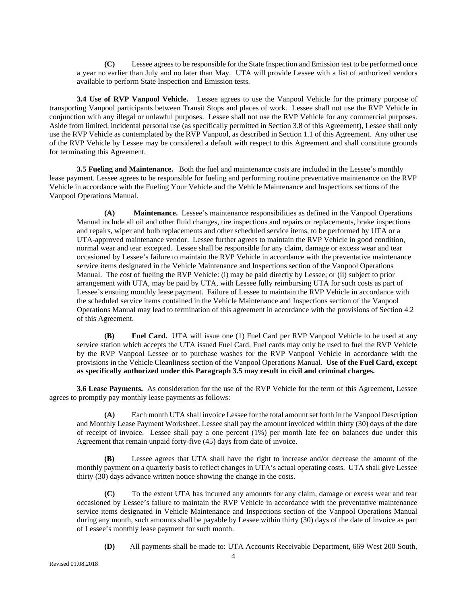**(C)** Lessee agrees to be responsible for the State Inspection and Emission test to be performed once a year no earlier than July and no later than May. UTA will provide Lessee with a list of authorized vendors available to perform State Inspection and Emission tests.

 **3.4 Use of RVP Vanpool Vehicle.** Lessee agrees to use the Vanpool Vehicle for the primary purpose of transporting Vanpool participants between Transit Stops and places of work. Lessee shall not use the RVP Vehicle in conjunction with any illegal or unlawful purposes. Lessee shall not use the RVP Vehicle for any commercial purposes. Aside from limited, incidental personal use (as specifically permitted in Section 3.8 of this Agreement), Lessee shall only use the RVP Vehicle as contemplated by the RVP Vanpool, as described in Section 1.1 of this Agreement. Any other use of the RVP Vehicle by Lessee may be considered a default with respect to this Agreement and shall constitute grounds for terminating this Agreement.

**3.5 Fueling and Maintenance.** Both the fuel and maintenance costs are included in the Lessee's monthly lease payment. Lessee agrees to be responsible for fueling and performing routine preventative maintenance on the RVP Vehicle in accordance with the Fueling Your Vehicle and the Vehicle Maintenance and Inspections sections of the Vanpool Operations Manual.

**(A) Maintenance.** Lessee's maintenance responsibilities as defined in the Vanpool Operations Manual include all oil and other fluid changes, tire inspections and repairs or replacements, brake inspections and repairs, wiper and bulb replacements and other scheduled service items, to be performed by UTA or a UTA-approved maintenance vendor. Lessee further agrees to maintain the RVP Vehicle in good condition, normal wear and tear excepted. Lessee shall be responsible for any claim, damage or excess wear and tear occasioned by Lessee's failure to maintain the RVP Vehicle in accordance with the preventative maintenance service items designated in the Vehicle Maintenance and Inspections section of the Vanpool Operations Manual. The cost of fueling the RVP Vehicle: (i) may be paid directly by Lessee; or (ii) subject to prior arrangement with UTA, may be paid by UTA, with Lessee fully reimbursing UTA for such costs as part of Lessee's ensuing monthly lease payment. Failure of Lessee to maintain the RVP Vehicle in accordance with the scheduled service items contained in the Vehicle Maintenance and Inspections section of the Vanpool Operations Manual may lead to termination of this agreement in accordance with the provisions of Section 4.2 of this Agreement.

**(B) Fuel Card.** UTA will issue one (1) Fuel Card per RVP Vanpool Vehicle to be used at any service station which accepts the UTA issued Fuel Card. Fuel cards may only be used to fuel the RVP Vehicle by the RVP Vanpool Lessee or to purchase washes for the RVP Vanpool Vehicle in accordance with the provisions in the Vehicle Cleanliness section of the Vanpool Operations Manual. **Use of the Fuel Card, except as specifically authorized under this Paragraph 3.5 may result in civil and criminal charges.**

 **3.6 Lease Payments.** As consideration for the use of the RVP Vehicle for the term of this Agreement, Lessee agrees to promptly pay monthly lease payments as follows:

**(A)** Each month UTA shall invoice Lessee for the total amount set forth in the Vanpool Description and Monthly Lease Payment Worksheet. Lessee shall pay the amount invoiced within thirty (30) days of the date of receipt of invoice. Lessee shall pay a one percent (1%) per month late fee on balances due under this Agreement that remain unpaid forty-five (45) days from date of invoice.

**(B)** Lessee agrees that UTA shall have the right to increase and/or decrease the amount of the monthly payment on a quarterly basis to reflect changes in UTA's actual operating costs. UTA shall give Lessee thirty (30) days advance written notice showing the change in the costs.

**(C)** To the extent UTA has incurred any amounts for any claim, damage or excess wear and tear occasioned by Lessee's failure to maintain the RVP Vehicle in accordance with the preventative maintenance service items designated in Vehicle Maintenance and Inspections section of the Vanpool Operations Manual during any month, such amounts shall be payable by Lessee within thirty (30) days of the date of invoice as part of Lessee's monthly lease payment for such month.

**(D)** All payments shall be made to: UTA Accounts Receivable Department, 669 West 200 South,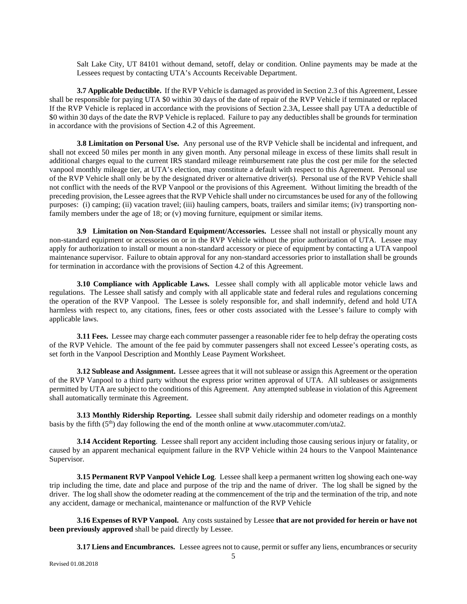Salt Lake City, UT 84101 without demand, setoff, delay or condition. Online payments may be made at the Lessees request by contacting UTA's Accounts Receivable Department.

**3.7 Applicable Deductible.** If the RVP Vehicle is damaged as provided in Section 2.3 of this Agreement, Lessee shall be responsible for paying UTA \$0 within 30 days of the date of repair of the RVP Vehicle if terminated or replaced If the RVP Vehicle is replaced in accordance with the provisions of Section 2.3A, Lessee shall pay UTA a deductible of \$0 within 30 days of the date the RVP Vehicle is replaced. Failure to pay any deductibles shall be grounds for termination in accordance with the provisions of Section 4.2 of this Agreement.

**3.8 Limitation on Personal Use.** Any personal use of the RVP Vehicle shall be incidental and infrequent, and shall not exceed 50 miles per month in any given month. Any personal mileage in excess of these limits shall result in additional charges equal to the current IRS standard mileage reimbursement rate plus the cost per mile for the selected vanpool monthly mileage tier, at UTA's election, may constitute a default with respect to this Agreement. Personal use of the RVP Vehicle shall only be by the designated driver or alternative driver(s). Personal use of the RVP Vehicle shall not conflict with the needs of the RVP Vanpool or the provisions of this Agreement. Without limiting the breadth of the preceding provision, the Lessee agrees that the RVP Vehicle shall under no circumstances be used for any of the following purposes: (i) camping; (ii) vacation travel; (iii) hauling campers, boats, trailers and similar items; (iv) transporting nonfamily members under the age of 18; or  $(v)$  moving furniture, equipment or similar items.

**3.9 Limitation on Non-Standard Equipment/Accessories.** Lessee shall not install or physically mount any non-standard equipment or accessories on or in the RVP Vehicle without the prior authorization of UTA. Lessee may apply for authorization to install or mount a non-standard accessory or piece of equipment by contacting a UTA vanpool maintenance supervisor. Failure to obtain approval for any non-standard accessories prior to installation shall be grounds for termination in accordance with the provisions of Section 4.2 of this Agreement.

**3.10 Compliance with Applicable Laws.** Lessee shall comply with all applicable motor vehicle laws and regulations. The Lessee shall satisfy and comply with all applicable state and federal rules and regulations concerning the operation of the RVP Vanpool. The Lessee is solely responsible for, and shall indemnify, defend and hold UTA harmless with respect to, any citations, fines, fees or other costs associated with the Lessee's failure to comply with applicable laws.

**3.11 Fees.** Lessee may charge each commuter passenger a reasonable rider fee to help defray the operating costs of the RVP Vehicle. The amount of the fee paid by commuter passengers shall not exceed Lessee's operating costs, as set forth in the Vanpool Description and Monthly Lease Payment Worksheet.

**3.12 Sublease and Assignment.** Lessee agrees that it will not sublease or assign this Agreement or the operation of the RVP Vanpool to a third party without the express prior written approval of UTA. All subleases or assignments permitted by UTA are subject to the conditions of this Agreement. Any attempted sublease in violation of this Agreement shall automatically terminate this Agreement.

**3.13 Monthly Ridership Reporting.** Lessee shall submit daily ridership and odometer readings on a monthly basis by the fifth  $(5<sup>th</sup>)$  day following the end of the month online at www.utacommuter.com/uta2.

**3.14 Accident Reporting**. Lessee shall report any accident including those causing serious injury or fatality, or caused by an apparent mechanical equipment failure in the RVP Vehicle within 24 hours to the Vanpool Maintenance Supervisor.

**3.15 Permanent RVP Vanpool Vehicle Log**. Lessee shall keep a permanent written log showing each one-way trip including the time, date and place and purpose of the trip and the name of driver. The log shall be signed by the driver. The log shall show the odometer reading at the commencement of the trip and the termination of the trip, and note any accident, damage or mechanical, maintenance or malfunction of the RVP Vehicle

**3.16 Expenses of RVP Vanpool.** Any costs sustained by Lessee **that are not provided for herein or have not been previously approved** shall be paid directly by Lessee.

**3.17 Liens and Encumbrances.** Lessee agrees not to cause, permit or suffer any liens, encumbrances or security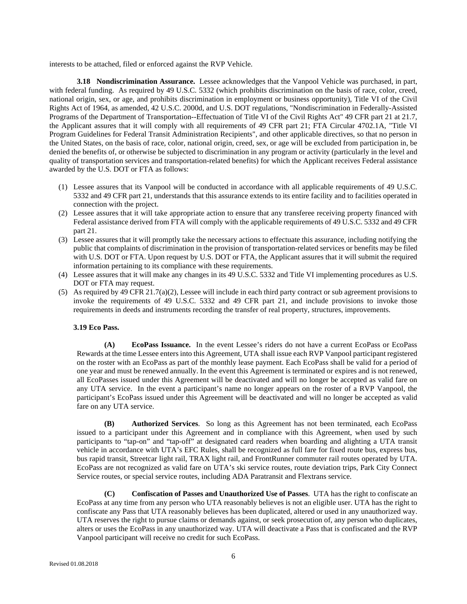interests to be attached, filed or enforced against the RVP Vehicle.

**3.18 Nondiscrimination Assurance.** Lessee acknowledges that the Vanpool Vehicle was purchased, in part, with federal funding. As required by 49 U.S.C. 5332 (which prohibits discrimination on the basis of race, color, creed, national origin, sex, or age, and prohibits discrimination in employment or business opportunity), Title VI of the Civil Rights Act of 1964, as amended, 42 U.S.C. 2000d, and U.S. DOT regulations, "Nondiscrimination in Federally-Assisted Programs of the Department of Transportation--Effectuation of Title VI of the Civil Rights Act" 49 CFR part 21 at 21.7, the Applicant assures that it will comply with all requirements of 49 CFR part 21; FTA Circular 4702.1A, "Title VI Program Guidelines for Federal Transit Administration Recipients", and other applicable directives, so that no person in the United States, on the basis of race, color, national origin, creed, sex, or age will be excluded from participation in, be denied the benefits of, or otherwise be subjected to discrimination in any program or activity (particularly in the level and quality of transportation services and transportation-related benefits) for which the Applicant receives Federal assistance awarded by the U.S. DOT or FTA as follows:

- (1) Lessee assures that its Vanpool will be conducted in accordance with all applicable requirements of 49 U.S.C. 5332 and 49 CFR part 21, understands that this assurance extends to its entire facility and to facilities operated in connection with the project.
- (2) Lessee assures that it will take appropriate action to ensure that any transferee receiving property financed with Federal assistance derived from FTA will comply with the applicable requirements of 49 U.S.C. 5332 and 49 CFR part 21.
- (3) Lessee assures that it will promptly take the necessary actions to effectuate this assurance, including notifying the public that complaints of discrimination in the provision of transportation-related services or benefits may be filed with U.S. DOT or FTA. Upon request by U.S. DOT or FTA, the Applicant assures that it will submit the required information pertaining to its compliance with these requirements.
- (4) Lessee assures that it will make any changes in its 49 U.S.C. 5332 and Title VI implementing procedures as U.S. DOT or FTA may request.
- (5) As required by 49 CFR 21.7(a)(2), Lessee will include in each third party contract or sub agreement provisions to invoke the requirements of 49 U.S.C. 5332 and 49 CFR part 21, and include provisions to invoke those requirements in deeds and instruments recording the transfer of real property, structures, improvements.

## **3.19 Eco Pass.**

**(A) EcoPass Issuance.** In the event Lessee's riders do not have a current EcoPass or EcoPass Rewards at the time Lessee enters into this Agreement, UTA shall issue each RVP Vanpool participant registered on the roster with an EcoPass as part of the monthly lease payment. Each EcoPass shall be valid for a period of one year and must be renewed annually. In the event this Agreement is terminated or expires and is not renewed, all EcoPasses issued under this Agreement will be deactivated and will no longer be accepted as valid fare on any UTA service. In the event a participant's name no longer appears on the roster of a RVP Vanpool, the participant's EcoPass issued under this Agreement will be deactivated and will no longer be accepted as valid fare on any UTA service.

**(B) Authorized Services**. So long as this Agreement has not been terminated, each EcoPass issued to a participant under this Agreement and in compliance with this Agreement, when used by such participants to "tap-on" and "tap-off" at designated card readers when boarding and alighting a UTA transit vehicle in accordance with UTA's EFC Rules, shall be recognized as full fare for fixed route bus, express bus, bus rapid transit, Streetcar light rail, TRAX light rail, and FrontRunner commuter rail routes operated by UTA. EcoPass are not recognized as valid fare on UTA's ski service routes, route deviation trips, Park City Connect Service routes, or special service routes, including ADA Paratransit and Flextrans service.

**(C) Confiscation of Passes and Unauthorized Use of Passes**. UTA has the right to confiscate an EcoPass at any time from any person who UTA reasonably believes is not an eligible user. UTA has the right to confiscate any Pass that UTA reasonably believes has been duplicated, altered or used in any unauthorized way. UTA reserves the right to pursue claims or demands against, or seek prosecution of, any person who duplicates, alters or uses the EcoPass in any unauthorized way. UTA will deactivate a Pass that is confiscated and the RVP Vanpool participant will receive no credit for such EcoPass.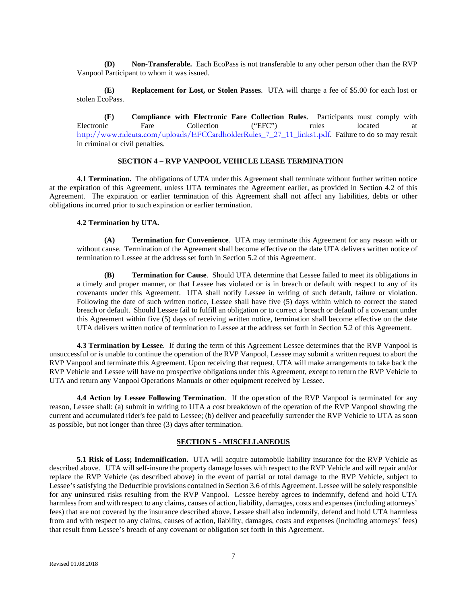**(D) Non-Transferable.** Each EcoPass is not transferable to any other person other than the RVP Vanpool Participant to whom it was issued.

**(E) Replacement for Lost, or Stolen Passes**. UTA will charge a fee of \$5.00 for each lost or stolen EcoPass.

**(F) Compliance with Electronic Fare Collection Rules**. Participants must comply with Electronic Fare Collection ("EFC") rules located at [http://www.rideuta.com/uploads/EFCCardholderRules\\_7\\_27\\_11\\_links1.pdf](http://www.rideuta.com/uploads/EFCCardholderRules_7_27_11_links1.pdf). Failure to do so may result in criminal or civil penalties.

# **SECTION 4 – RVP VANPOOL VEHICLE LEASE TERMINATION**

**4.1 Termination.** The obligations of UTA under this Agreement shall terminate without further written notice at the expiration of this Agreement, unless UTA terminates the Agreement earlier, as provided in Section 4.2 of this Agreement. The expiration or earlier termination of this Agreement shall not affect any liabilities, debts or other obligations incurred prior to such expiration or earlier termination.

#### **4.2 Termination by UTA.**

**(A) Termination for Convenience**. UTA may terminate this Agreement for any reason with or without cause. Termination of the Agreement shall become effective on the date UTA delivers written notice of termination to Lessee at the address set forth in Section 5.2 of this Agreement.

**(B) Termination for Cause**. Should UTA determine that Lessee failed to meet its obligations in a timely and proper manner, or that Lessee has violated or is in breach or default with respect to any of its covenants under this Agreement. UTA shall notify Lessee in writing of such default, failure or violation. Following the date of such written notice, Lessee shall have five (5) days within which to correct the stated breach or default. Should Lessee fail to fulfill an obligation or to correct a breach or default of a covenant under this Agreement within five (5) days of receiving written notice, termination shall become effective on the date UTA delivers written notice of termination to Lessee at the address set forth in Section 5.2 of this Agreement.

**4.3 Termination by Lessee**. If during the term of this Agreement Lessee determines that the RVP Vanpool is unsuccessful or is unable to continue the operation of the RVP Vanpool, Lessee may submit a written request to abort the RVP Vanpool and terminate this Agreement. Upon receiving that request, UTA will make arrangements to take back the RVP Vehicle and Lessee will have no prospective obligations under this Agreement, except to return the RVP Vehicle to UTA and return any Vanpool Operations Manuals or other equipment received by Lessee.

**4.4 Action by Lessee Following Termination**. If the operation of the RVP Vanpool is terminated for any reason, Lessee shall: (a) submit in writing to UTA a cost breakdown of the operation of the RVP Vanpool showing the current and accumulated rider's fee paid to Lessee; (b) deliver and peacefully surrender the RVP Vehicle to UTA as soon as possible, but not longer than three (3) days after termination.

# **SECTION 5 - MISCELLANEOUS**

**5.1 Risk of Loss; Indemnification.** UTA will acquire automobile liability insurance for the RVP Vehicle as described above. UTA will self-insure the property damage losses with respect to the RVP Vehicle and will repair and/or replace the RVP Vehicle (as described above) in the event of partial or total damage to the RVP Vehicle, subject to Lessee's satisfying the Deductible provisions contained in Section 3.6 of this Agreement. Lessee will be solely responsible for any uninsured risks resulting from the RVP Vanpool. Lessee hereby agrees to indemnify, defend and hold UTA harmless from and with respect to any claims, causes of action, liability, damages, costs and expenses (including attorneys' fees) that are not covered by the insurance described above. Lessee shall also indemnify, defend and hold UTA harmless from and with respect to any claims, causes of action, liability, damages, costs and expenses (including attorneys' fees) that result from Lessee's breach of any covenant or obligation set forth in this Agreement.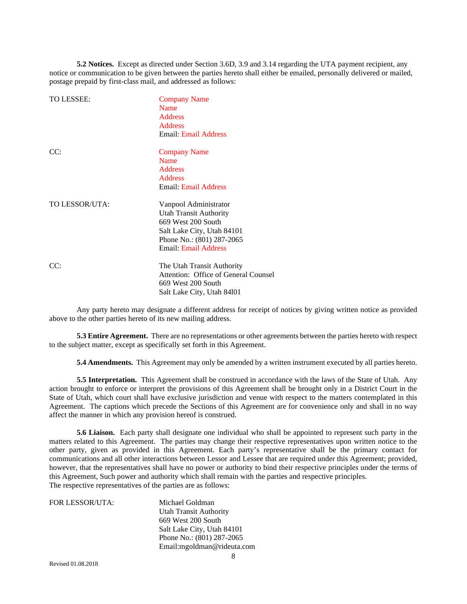**5.2 Notices.** Except as directed under Section 3.6D, 3.9 and 3.14 regarding the UTA payment recipient, any notice or communication to be given between the parties hereto shall either be emailed, personally delivered or mailed, postage prepaid by first-class mail, and addressed as follows:

| TO LESSEE:     | <b>Company Name</b><br><b>Name</b><br><b>Address</b><br><b>Address</b><br><b>Email: Email Address</b>                                                                  |
|----------------|------------------------------------------------------------------------------------------------------------------------------------------------------------------------|
| CC:            | <b>Company Name</b><br>Name<br><b>Address</b><br><b>Address</b><br><b>Email: Email Address</b>                                                                         |
| TO LESSOR/UTA: | Vanpool Administrator<br><b>Utah Transit Authority</b><br>669 West 200 South<br>Salt Lake City, Utah 84101<br>Phone No.: (801) 287-2065<br><b>Email: Email Address</b> |
| CC:            | The Utah Transit Authority<br>Attention: Office of General Counsel<br>669 West 200 South                                                                               |

Any party hereto may designate a different address for receipt of notices by giving written notice as provided above to the other parties hereto of its new mailing address.

Salt Lake City, Utah 84l01

**5.3 Entire Agreement.** There are no representations or other agreements between the parties hereto with respect to the subject matter, except as specifically set forth in this Agreement.

**5.4 Amendments.** This Agreement may only be amended by a written instrument executed by all parties hereto.

**5.5 Interpretation.** This Agreement shall be construed in accordance with the laws of the State of Utah. Any action brought to enforce or interpret the provisions of this Agreement shall be brought only in a District Court in the State of Utah, which court shall have exclusive jurisdiction and venue with respect to the matters contemplated in this Agreement. The captions which precede the Sections of this Agreement are for convenience only and shall in no way affect the manner in which any provision hereof is construed.

**5.6 Liaison.** Each party shall designate one individual who shall be appointed to represent such party in the matters related to this Agreement. The parties may change their respective representatives upon written notice to the other party, given as provided in this Agreement. Each party's representative shall be the primary contact for communications and all other interactions between Lessor and Lessee that are required under this Agreement; provided, however, that the representatives shall have no power or authority to bind their respective principles under the terms of this Agreement, Such power and authority which shall remain with the parties and respective principles. The respective representatives of the parties are as follows:

| FOR LESSOR/UTA: | Michael Goldman               |
|-----------------|-------------------------------|
|                 | <b>Utah Transit Authority</b> |
|                 | 669 West 200 South            |
|                 | Salt Lake City, Utah 84101    |
|                 | Phone No.: (801) 287-2065     |
|                 | Email:mgoldman@rideuta.com    |